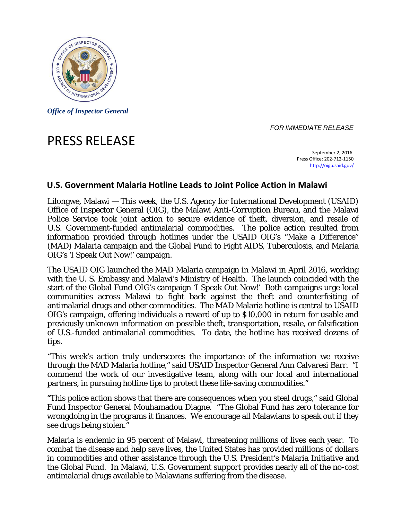

*Office of Inspector General* 

## *FOR IMMEDIATE RELEASE*

## PRESS RELEASE

 September 2, 2016 Press Office: 202‐712‐1150 http://oig.usaid.gov/

## **U.S. Government Malaria Hotline Leads to Joint Police Action in Malawi**

Police Service took joint action to secure evidence of theft, diversion, and resale of Lilongwe, Malawi — This week, the U.S. Agency for International Development (USAID) Office of Inspector General (OIG), the Malawi Anti-Corruption Bureau, and the Malawi U.S. Government-funded antimalarial commodities. The police action resulted from information provided through hotlines under the USAID OIG's "Make a Difference" (MAD) Malaria campaign and the Global Fund to Fight AIDS, Tuberculosis, and Malaria OIG's 'I Speak Out Now!' campaign.

The USAID OIG launched the MAD Malaria campaign in Malawi in April 2016, working with the U. S. Embassy and Malawi's Ministry of Health. The launch coincided with the start of the Global Fund OIG's campaign 'I Speak Out Now!' Both campaigns urge local communities across Malawi to fight back against the theft and counterfeiting of antimalarial drugs and other commodities. The MAD Malaria hotline is central to USAID OIG's campaign, offering individuals a reward of up to \$10,000 in return for usable and previously unknown information on possible theft, transportation, resale, or falsification of U.S.-funded antimalarial commodities. To date, the hotline has received dozens of tips.

"This week's action truly underscores the importance of the information we receive through the MAD Malaria hotline," said USAID Inspector General Ann Calvaresi Barr. "I commend the work of our investigative team, along with our local and international partners, in pursuing hotline tips to protect these life-saving commodities."

"This police action shows that there are consequences when you steal drugs," said Global Fund Inspector General Mouhamadou Diagne. "The Global Fund has zero tolerance for wrongdoing in the programs it finances. We encourage all Malawians to speak out if they see drugs being stolen."

Malaria is endemic in 95 percent of Malawi, threatening millions of lives each year. To combat the disease and help save lives, the United States has provided millions of dollars in commodities and other assistance through the U.S. President's Malaria Initiative and the Global Fund. In Malawi, U.S. Government support provides nearly all of the no-cost antimalarial drugs available to Malawians suffering from the disease.